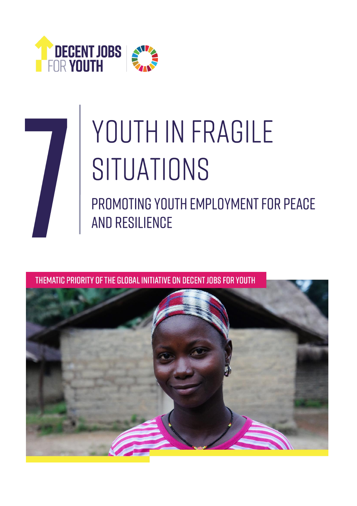



# YOUTH IN FRAGILE SITUATIONS

PROMOTING YOUTH EMPLOYMENT FOR PEACE **AND RESILIENCE** 

IC PRIORITY OF THE GLOBAL INITIATIVE ON DECENT JOBS FOR YOUTH

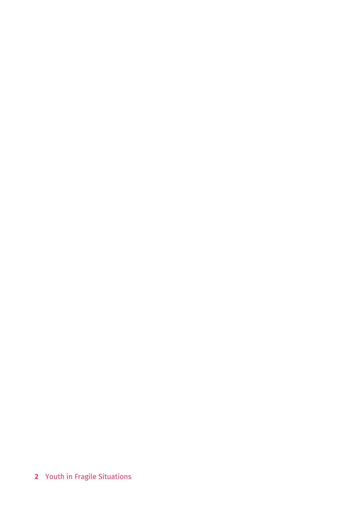# Youth in Fragile Situations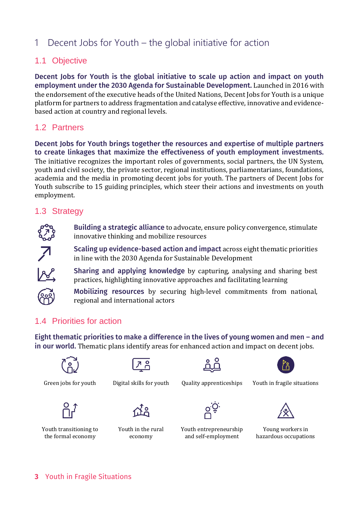# 1 Decent Jobs for Youth – the global initiative for action

# 1.1 Objective

Decent Jobs for Youth is the global initiative to scale up action and impact on youth employment under the 2030 Agenda for Sustainable Development. Launched in 2016 with the endorsement of the executive heads of the United Nations, Decent Jobs for Youth is a unique platform for partners to address fragmentation and catalyse effective, innovative and evidencebased action at country and regional levels.

# 1.2 Partners

Decent Jobs for Youth brings together the resources and expertise of multiple partners to create linkages that maximize the effectiveness of youth employment investments.

The initiative recognizes the important roles of governments, social partners, the UN System, youth and civil society, the private sector, regional institutions, parliamentarians, foundations, academia and the media in promoting decent jobs for youth. The partners of Decent Jobs for Youth subscribe to 15 guiding principles, which steer their actions and investments on youth employment.

## 1.3 Strategy



Building a strategic alliance to advocate, ensure policy convergence, stimulate innovative thinking and mobilize resources

Scaling up evidence-based action and impact across eight thematic priorities in line with the 2030 Agenda for Sustainable Development



Sharing and applying knowledge by capturing, analysing and sharing best practices, highlighting innovative approaches and facilitating learning



Mobilizing resources by securing high-level commitments from national, regional and international actors

## 1.4 Priorities for action

Eight thematic priorities to make a difference in the lives of young women and men – and in our world. Thematic plans identify areas for enhanced action and impact on decent jobs.













Youth in the rural economy



Youth entrepreneurship and self-employment



Young workers in hazardous occupations

Youth transitioning to the formal economy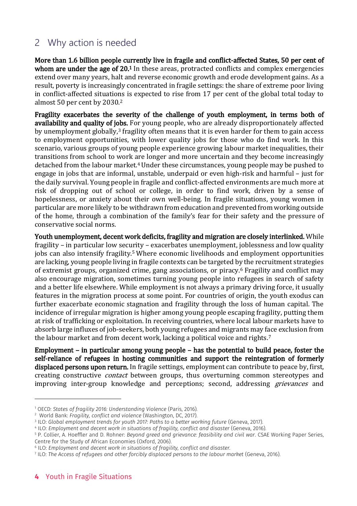# 2 Why action is needed

More than 1.6 billion people currently live in fragile and conflict-affected States, 50 per cent of whom are under the age of 20.<sup>1</sup> In these areas, protracted conflicts and complex emergencies extend over many years, halt and reverse economic growth and erode development gains. As a result, poverty is increasingly concentrated in fragile settings: the share of extreme poor living in conflict-affected situations is expected to rise from 17 per cent of the global total today to almost 50 per cent by 2030.<sup>2</sup>

Fragility exacerbates the severity of the challenge of youth employment, in terms both of availability and quality of jobs. For young people, who are already disproportionately affected by unemployment globally,<sup>3</sup> fragility often means that it is even harder for them to gain access to employment opportunities, with lower quality jobs for those who do find work. In this scenario, various groups of young people experience growing labour market inequalities, their transitions from school to work are longer and more uncertain and they become increasingly detached from the labour market.<sup>4</sup> Under these circumstances, young people may be pushed to engage in jobs that are informal, unstable, underpaid or even high-risk and harmful – just for the daily survival. Young people in fragile and conflict-affected environments are much more at risk of dropping out of school or college, in order to find work, driven by a sense of hopelessness, or anxiety about their own well-being. In fragile situations, young women in particular are more likely to be withdrawn from education and prevented from working outside of the home, through a combination of the family's fear for their safety and the pressure of conservative social norms.

Youth unemployment, decent work deficits, fragility and migration are closely interlinked. While fragility – in particular low security – exacerbates unemployment, joblessness and low quality jobs can also intensify fragility.<sup>5</sup> Where economic livelihoods and employment opportunities are lacking, young people living in fragile contexts can be targeted by the recruitment strategies of extremist groups, organized crime, gang associations, or piracy.<sup>6</sup> Fragility and conflict may also encourage migration, sometimes turning young people into refugees in search of safety and a better life elsewhere. While employment is not always a primary driving force, it usually features in the migration process at some point. For countries of origin, the youth exodus can further exacerbate economic stagnation and fragility through the loss of human capital. The incidence of irregular migration is higher among young people escaping fragility, putting them at risk of trafficking or exploitation. In receiving countries, where local labour markets have to absorb large influxes of job-seekers, both young refugees and migrants may face exclusion from the labour market and from decent work, lacking a political voice and rights.<sup>7</sup>

Employment – in particular among young people – has the potential to build peace, foster the self-reliance of refugees in hosting communities and support the reintegration of formerly displaced persons upon return. In fragile settings, employment can contribute to peace by, first, creating constructive contact between groups, thus overturning common stereotypes and improving inter-group knowledge and perceptions; second, addressing *grievances* and

<sup>1</sup> OECD: *States of fragility 2016: Understanding Violence* (Paris, 2016)*.*

<sup>2</sup> World Bank: *Fragility, conflict and violence* (Washington, DC, 2017)*.*

<sup>3</sup> ILO: *Global employment trends for youth 2017: Paths to a better working future* (Geneva, 2017)*.*

<sup>4</sup> ILO: *Employment and decent work in situations of fragility, conflict and disaster* (Geneva, 2016)*.*

<sup>5</sup> P. Collier, A. Hoeffler and D. Rohner: *Beyond greed and grievance: feasibility and civil war*. CSAE Working Paper Series, Centre for the Study of African Economies (Oxford, 2006).

<sup>6</sup> ILO: *Employment and decent work in situations of fragility, conflict and disaster.*

<sup>7</sup> ILO: *The Access of refugees and other forcibly displaced persons to the labour market* (Geneva, 2016).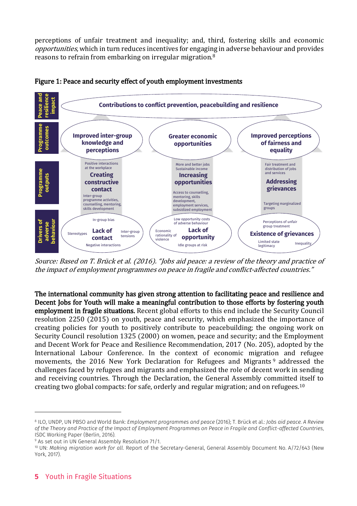perceptions of unfair treatment and inequality; and, third, fostering skills and economic opportunities, which in turn reduces incentives for engaging in adverse behaviour and provides reasons to refrain from embarking on irregular migration.<sup>8</sup>



Figure 1: Peace and security effect of youth employment investments

Source: Based on T. Brück et al. (2016). "Jobs aid peace: a review of the theory and practice of the impact of employment programmes on peace in fragile and conflict-affected countries."

The international community has given strong attention to facilitating peace and resilience and Decent Jobs for Youth will make a meaningful contribution to those efforts by fostering youth employment in fragile situations. Recent global efforts to this end include the Security Council resolution 2250 (2015) on youth, peace and security, which emphasized the importance of creating policies for youth to positively contribute to peacebuilding; the ongoing work on Security Council resolution 1325 (2000) on women, peace and security; and the Employment and Decent Work for Peace and Resilience Recommendation, 2017 (No. 205), adopted by the International Labour Conference. In the context of economic migration and refugee movements, the 2016 New York Declaration for Refugees and Migrants<sup>9</sup> addressed the challenges faced by refugees and migrants and emphasized the role of decent work in sending and receiving countries. Through the Declaration, the General Assembly committed itself to creating two global compacts: for safe, orderly and regular migration; and on refugees.<sup>10</sup>

<sup>8</sup> ILO, UNDP, UN PBSO and World Bank: *Employment programmes and peace* (2016); T. Brück et al.: *Jobs aid peace. A Review of the Theory and Practice of the Impact of Employment Programmes on Peace in Fragile and Conflict-affected Countries*, ISDC Working Paper (Berlin, 2016)*.*

<sup>&</sup>lt;sup>9</sup> As set out in UN General Assembly Resolution 71/1.

<sup>10</sup> UN: *Making migration work for all*. Report of the Secretary-General, General Assembly Document No. A/72/643 (New York, 2017).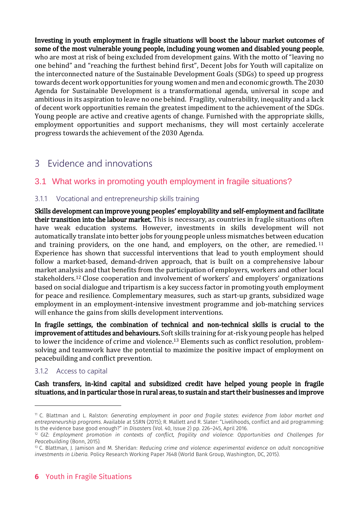Investing in youth employment in fragile situations will boost the labour market outcomes of some of the most vulnerable young people, including young women and disabled young people, who are most at risk of being excluded from development gains. With the motto of "leaving no one behind" and "reaching the furthest behind first", Decent Jobs for Youth will capitalize on the interconnected nature of the Sustainable Development Goals (SDGs) to speed up progress towards decent work opportunities for young women and men and economic growth. The 2030 Agenda for Sustainable Development is a transformational agenda, universal in scope and ambitious in its aspiration to leave no one behind. Fragility, vulnerability, inequality and a lack of decent work opportunities remain the greatest impediment to the achievement of the SDGs. Young people are active and creative agents of change. Furnished with the appropriate skills, employment opportunities and support mechanisms, they will most certainly accelerate progress towards the achievement of the 2030 Agenda.

# 3 Evidence and innovations

# 3.1 What works in promoting youth employment in fragile situations?

#### 3.1.1 Vocational and entrepreneurship skills training

Skills development can improve young peoples' employability and self-employment and facilitate their transition into the labour market. This is necessary, as countries in fragile situations often have weak education systems. However, investments in skills development will not automatically translate into better jobs for young people unless mismatches between education and training providers, on the one hand, and employers, on the other, are remedied.  $11$ Experience has shown that successful interventions that lead to youth employment should follow a market-based, demand-driven approach, that is built on a comprehensive labour market analysis and that benefits from the participation of employers, workers and other local stakeholders.<sup>12</sup> Close cooperation and involvement of workers' and employers' organizations based on social dialogue and tripartism is a key success factor in promoting youth employment for peace and resilience. Complementary measures, such as start-up grants, subsidized wage employment in an employment-intensive investment programme and job-matching services will enhance the gains from skills development interventions.

In fragile settings, the combination of technical and non-technical skills is crucial to the improvement of attitudes and behaviours. Soft skills training for at-risk young people has helped to lower the incidence of crime and violence.<sup>13</sup> Elements such as conflict resolution, problemsolving and teamwork have the potential to maximize the positive impact of employment on peacebuilding and conflict prevention.

#### 3.1.2 Access to capital

 $\overline{a}$ 

Cash transfers, in-kind capital and subsidized credit have helped young people in fragile situations, and in particular those in rural areas, to sustain and start their businesses and improve

<sup>11</sup> C. Blattman and L. Ralston: *Generating employment in poor and fragile states: evidence from labor market and entrepreneurship programs*. Available at SSRN (2015); R. Mallett and R. Slater: "Livelihoods, conflict and aid programming: Is the evidence base good enough?" in *Disasters* (Vol. 40, Issue 2) pp. 226–245, April 2016.

<sup>12</sup> GIZ: *Employment promotion in contexts of conflict, fragility and violence: Opportunities and Challenges for Peacebuilding* (Bonn, 2015)*.*

<sup>13</sup> C. Blattman, J. Jamison and M. Sheridan: *Reducing crime and violence: experimental evidence on adult noncognitive investments in Liberia.* Policy Research Working Paper 7648 (World Bank Group, Washington, DC, 2015).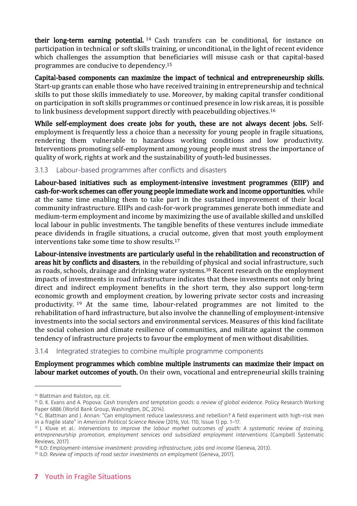their long-term earning potential.<sup>14</sup> Cash transfers can be conditional, for instance on participation in technical or soft skills training, or unconditional, in the light of recent evidence which challenges the assumption that beneficiaries will misuse cash or that capital-based programmes are conducive to dependency.<sup>15</sup>

Capital-based components can maximize the impact of technical and entrepreneurship skills. Start-up grants can enable those who have received training in entrepreneurship and technical skills to put those skills immediately to use. Moreover, by making capital transfer conditional on participation in soft skills programmes or continued presence in low risk areas, it is possible to link business development support directly with peacebuilding objectives.<sup>16</sup>

While self-employment does create jobs for youth, these are not always decent jobs. Selfemployment is frequently less a choice than a necessity for young people in fragile situations, rendering them vulnerable to hazardous working conditions and low productivity. Interventions promoting self-employment among young people must stress the importance of quality of work, rights at work and the sustainability of youth-led businesses.

#### 3.1.3 Labour-based programmes after conflicts and disasters

Labour-based initiatives such as employment-intensive investment programmes (EIIP) and cash-for-work schemes can offer young people immediate work and income opportunities, while at the same time enabling them to take part in the sustained improvement of their local community infrastructure. EIIPs and cash-for-work programmes generate both immediate and medium-term employment and income by maximizing the use of available skilled and unskilled local labour in public investments. The tangible benefits of these ventures include immediate peace dividends in fragile situations, a crucial outcome, given that most youth employment interventions take some time to show results.<sup>17</sup>

Labour-intensive investments are particularly useful in the rehabilitation and reconstruction of areas hit by conflicts and disasters, in the rebuilding of physical and social infrastructure, such as roads, schools, drainage and drinking water systems.<sup>18</sup> Recent research on the employment impacts of investments in road infrastructure indicates that these investments not only bring direct and indirect employment benefits in the short term, they also support long-term economic growth and employment creation, by lowering private sector costs and increasing productivity. <sup>19</sup> At the same time, labour-related programmes are not limited to the rehabilitation of hard infrastructure, but also involve the channelling of employment-intensive investments into the social sectors and environmental services. Measures of this kind facilitate the social cohesion and climate resilience of communities, and militate against the common tendency of infrastructure projects to favour the employment of men without disabilities.

#### 3.1.4 Integrated strategies to combine multiple programme components

Employment programmes which combine multiple instruments can maximize their impact on labour market outcomes of youth. On their own, vocational and entrepreneurial skills training

<sup>14</sup> Blattman and Ralston, op. cit.

<sup>15</sup> D. K. Evans and A. Popova: *Cash transfers and temptation goods*: *a review of global evidence*. Policy Research Working Paper 6886 (World Bank Group, Washington, DC, 2014).

<sup>16</sup> C. Blattman and J. Annan: "Can employment reduce lawlessness and rebellion? A field experiment with high-risk men in a fragile state" in *American Political Science Review* (2016, Vol. 110, Issue 1) pp. 1–17.

<sup>17</sup> J. Kluve et al.: *Interventions to improve the labour market outcomes of youth: A systematic review of training, entrepreneurship promotion, employment services and subsidized employment interventions* (Campbell Systematic Reviews, 2017).

<sup>&</sup>lt;sup>18</sup> ILO: *Employment-intensive investment: providing infrastructure, jobs and income (Geneva, 2013).* 

<sup>&</sup>lt;sup>19</sup> ILO: *Review of impacts of road sector investments on employment* (Geneva, 2017).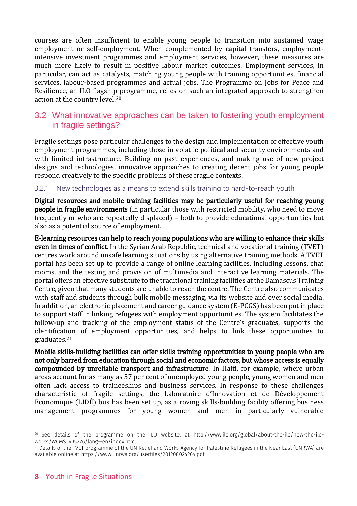courses are often insufficient to enable young people to transition into sustained wage employment or self-employment. When complemented by capital transfers, employmentintensive investment programmes and employment services, however, these measures are much more likely to result in positive labour market outcomes. Employment services, in particular, can act as catalysts, matching young people with training opportunities, financial services, labour-based programmes and actual jobs. The Programme on Jobs for Peace and Resilience, an ILO flagship programme, relies on such an integrated approach to strengthen action at the country level.<sup>20</sup>

### 3.2 What innovative approaches can be taken to fostering youth employment in fragile settings?

Fragile settings pose particular challenges to the design and implementation of effective youth employment programmes, including those in volatile political and security environments and with limited infrastructure. Building on past experiences, and making use of new project designs and technologies, innovative approaches to creating decent jobs for young people respond creatively to the specific problems of these fragile contexts.

#### 3.2.1 New technologies as a means to extend skills training to hard-to-reach youth

Digital resources and mobile training facilities may be particularly useful for reaching young people in fragile environments (in particular those with restricted mobility, who need to move frequently or who are repeatedly displaced) – both to provide educational opportunities but also as a potential source of employment.

E-learning resources can help to reach young populations who are willing to enhance their skills even in times of conflict. In the Syrian Arab Republic, technical and vocational training (TVET) centres work around unsafe learning situations by using alternative training methods. A TVET portal has been set up to provide a range of online learning facilities, including lessons, chat rooms, and the testing and provision of multimedia and interactive learning materials. The portal offers an effective substitute to the traditional training facilities at the Damascus Training Centre, given that many students are unable to reach the centre. The Centre also communicates with staff and students through bulk mobile messaging, via its website and over social media. In addition, an electronic placement and career guidance system (E-PCGS) has been put in place to support staff in linking refugees with employment opportunities. The system facilitates the follow-up and tracking of the employment status of the Centre's graduates, supports the identification of employment opportunities, and helps to link these opportunities to graduates.<sup>21</sup>

Mobile skills-building facilities can offer skills training opportunities to young people who are not only barred from education through social and economic factors, but whose access is equally compounded by unreliable transport and infrastructure. In Haiti, for example, where urban areas account for as many as 57 per cent of unemployed young people, young women and men often lack access to traineeships and business services. In response to these challenges characteristic of fragile settings, the Laboratoire d'Innovation et de Développement Economique (LIDÉ) bus has been set up, as a roving skills-building facility offering business management programmes for young women and men in particularly vulnerable

<sup>&</sup>lt;sup>20</sup> See details of the programme on the ILO website, at http://www.ilo.org/global/about-the-ilo/how-the-iloworks/WCMS\_495276/lang--en/index.htm.

<sup>21</sup> Details of the TVET programme of the UN Relief and Works Agency for Palestine Refugees in the Near East (UNRWA) are available online at https://www.unrwa.org/userfiles/201208024264.pdf.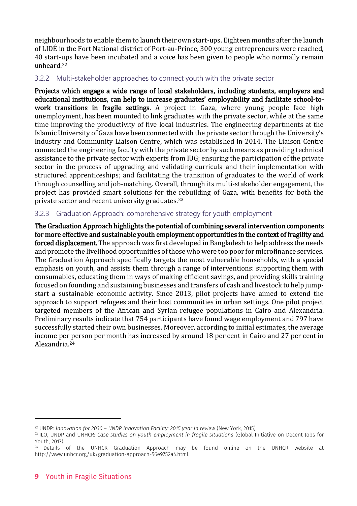neighbourhoods to enable them to launch their own start-ups. Eighteen months after the launch of LIDÉ in the Fort National district of Port-au-Prince, 300 young entrepreneurs were reached, 40 start-ups have been incubated and a voice has been given to people who normally remain unheard.<sup>22</sup>

#### 3.2.2 Multi-stakeholder approaches to connect youth with the private sector

Projects which engage a wide range of local stakeholders, including students, employers and educational institutions, can help to increase graduates' employability and facilitate school-towork transitions in fragile settings. A project in Gaza, where young people face high unemployment, has been mounted to link graduates with the private sector, while at the same time improving the productivity of five local industries. The engineering departments at the Islamic University of Gaza have been connected with the private sector through the University's Industry and Community Liaison Centre, which was established in 2014. The Liaison Centre connected the engineering faculty with the private sector by such means as providing technical assistance to the private sector with experts from IUG; ensuring the participation of the private sector in the process of upgrading and validating curricula and their implementation with structured apprenticeships; and facilitating the transition of graduates to the world of work through counselling and job-matching. Overall, through its multi-stakeholder engagement, the project has provided smart solutions for the rebuilding of Gaza, with benefits for both the private sector and recent university graduates.<sup>23</sup>

#### 3.2.3 Graduation Approach: comprehensive strategy for youth employment

The Graduation Approach highlights the potential of combining several intervention components for more effective and sustainable youth employment opportunities in the context of fragility and forced displacement. The approach was first developed in Bangladesh to help address the needs and promote the livelihood opportunities of those who were too poor for microfinance services. The Graduation Approach specifically targets the most vulnerable households, with a special emphasis on youth, and assists them through a range of interventions: supporting them with consumables, educating them in ways of making efficient savings, and providing skills training focused on founding and sustaining businesses and transfers of cash and livestock to help jumpstart a sustainable economic activity. Since 2013, pilot projects have aimed to extend the approach to support refugees and their host communities in urban settings. One pilot project targeted members of the African and Syrian refugee populations in Cairo and Alexandria. Preliminary results indicate that 754 participants have found wage employment and 797 have successfully started their own businesses. Moreover, according to initial estimates, the average income per person per month has increased by around 18 per cent in Cairo and 27 per cent in Alexandria.<sup>24</sup>

<sup>22</sup> UNDP: *Innovation for 2030 – UNDP Innovation Facility: 2015 year in review* (New York, 2015).

<sup>23</sup> ILO, UNDP and UNHCR: *Case studies on youth employment in fragile situations* (Global Initiative on Decent Jobs for Youth, 2017)*.*

 $24$  Details of the UNHCR Graduation Approach may be found online on the UNHCR website at http://www.unhcr.org/uk/graduation-approach-56e9752a4.html*.*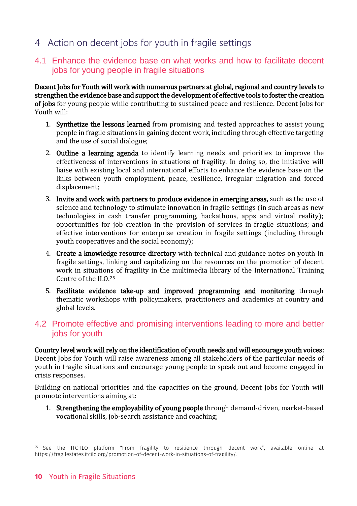# 4 Action on decent jobs for youth in fragile settings

## 4.1 Enhance the evidence base on what works and how to facilitate decent jobs for young people in fragile situations

Decent Jobs for Youth will work with numerous partners at global, regional and country levels to strengthen the evidence base and support the development of effective tools to foster the creation of jobs for young people while contributing to sustained peace and resilience. Decent Jobs for Youth will:

- 1. Synthetize the lessons learned from promising and tested approaches to assist young people in fragile situations in gaining decent work, including through effective targeting and the use of social dialogue;
- 2. Outline a learning agenda to identify learning needs and priorities to improve the effectiveness of interventions in situations of fragility. In doing so, the initiative will liaise with existing local and international efforts to enhance the evidence base on the links between youth employment, peace, resilience, irregular migration and forced displacement;
- 3. Invite and work with partners to produce evidence in emerging areas, such as the use of science and technology to stimulate innovation in fragile settings (in such areas as new technologies in cash transfer programming, hackathons, apps and virtual reality); opportunities for job creation in the provision of services in fragile situations; and effective interventions for enterprise creation in fragile settings (including through youth cooperatives and the social economy);
- 4. Create a knowledge resource directory with technical and guidance notes on youth in fragile settings, linking and capitalizing on the resources on the promotion of decent work in situations of fragility in the multimedia library of the International Training Centre of the ILO.<sup>25</sup>
- 5. Facilitate evidence take-up and improved programming and monitoring through thematic workshops with policymakers, practitioners and academics at country and global levels.

## 4.2 Promote effective and promising interventions leading to more and better jobs for youth

Country level work will rely on the identification of youth needs and will encourage youth voices: Decent Jobs for Youth will raise awareness among all stakeholders of the particular needs of youth in fragile situations and encourage young people to speak out and become engaged in crisis responses.

Building on national priorities and the capacities on the ground, Decent Jobs for Youth will promote interventions aiming at:

1. Strengthening the employability of young people through demand-driven, market-based vocational skills, job-search assistance and coaching;

<sup>&</sup>lt;sup>25</sup> See the ITC-ILO platform "From fragility to resilience through decent work", available online at https://fragilestates.itcilo.org/promotion-of-decent-work-in-situations-of-fragility/.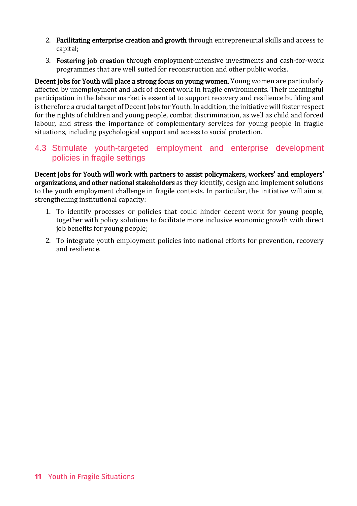- 2. Facilitating enterprise creation and growth through entrepreneurial skills and access to capital;
- 3. Fostering job creation through employment-intensive investments and cash-for-work programmes that are well suited for reconstruction and other public works.

Decent Jobs for Youth will place a strong focus on young women. Young women are particularly affected by unemployment and lack of decent work in fragile environments. Their meaningful participation in the labour market is essential to support recovery and resilience building and is therefore a crucial target of Decent Jobs for Youth. In addition, the initiative will foster respect for the rights of children and young people, combat discrimination, as well as child and forced labour, and stress the importance of complementary services for young people in fragile situations, including psychological support and access to social protection.

## 4.3 Stimulate youth-targeted employment and enterprise development policies in fragile settings

Decent Jobs for Youth will work with partners to assist policymakers, workers' and employers' organizations, and other national stakeholders as they identify, design and implement solutions to the youth employment challenge in fragile contexts. In particular, the initiative will aim at strengthening institutional capacity:

- 1. To identify processes or policies that could hinder decent work for young people, together with policy solutions to facilitate more inclusive economic growth with direct job benefits for young people;
- 2. To integrate youth employment policies into national efforts for prevention, recovery and resilience.